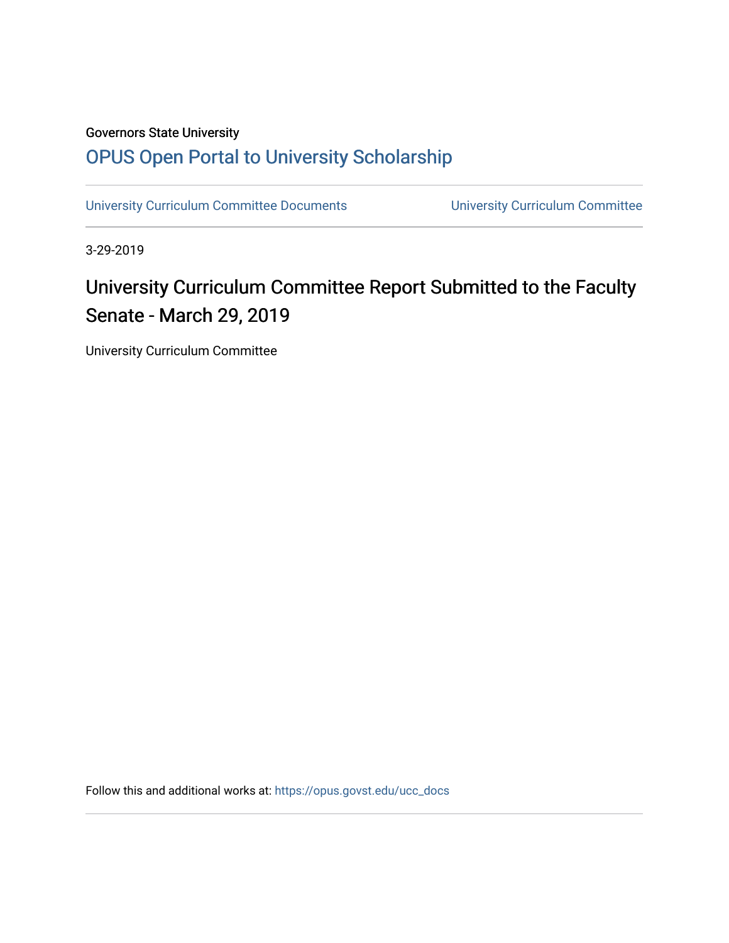## Governors State University [OPUS Open Portal to University Scholarship](https://opus.govst.edu/)

[University Curriculum Committee Documents](https://opus.govst.edu/ucc_docs) [University Curriculum Committee](https://opus.govst.edu/ucc) 

3-29-2019

## University Curriculum Committee Report Submitted to the Faculty Senate - March 29, 2019

University Curriculum Committee

Follow this and additional works at: [https://opus.govst.edu/ucc\\_docs](https://opus.govst.edu/ucc_docs?utm_source=opus.govst.edu%2Fucc_docs%2F6&utm_medium=PDF&utm_campaign=PDFCoverPages)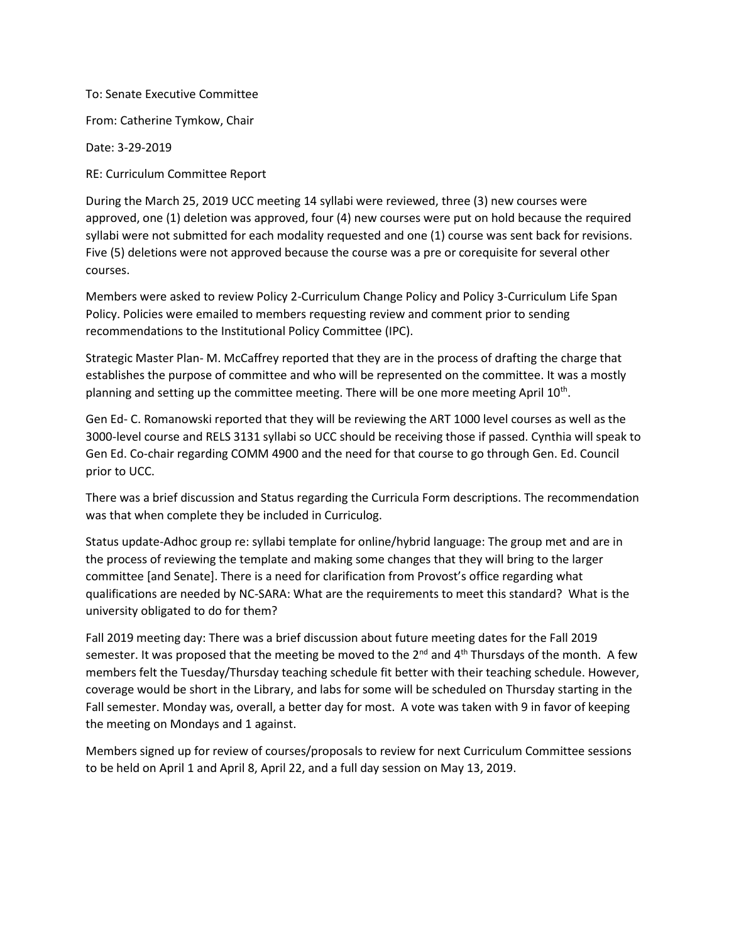To: Senate Executive Committee

From: Catherine Tymkow, Chair

Date: 3-29-2019

RE: Curriculum Committee Report

During the March 25, 2019 UCC meeting 14 syllabi were reviewed, three (3) new courses were approved, one (1) deletion was approved, four (4) new courses were put on hold because the required syllabi were not submitted for each modality requested and one (1) course was sent back for revisions. Five (5) deletions were not approved because the course was a pre or corequisite for several other courses.

Members were asked to review Policy 2-Curriculum Change Policy and Policy 3-Curriculum Life Span Policy. Policies were emailed to members requesting review and comment prior to sending recommendations to the Institutional Policy Committee (IPC).

Strategic Master Plan- M. McCaffrey reported that they are in the process of drafting the charge that establishes the purpose of committee and who will be represented on the committee. It was a mostly planning and setting up the committee meeting. There will be one more meeting April  $10^{\text{th}}$ .

Gen Ed- C. Romanowski reported that they will be reviewing the ART 1000 level courses as well as the 3000-level course and RELS 3131 syllabi so UCC should be receiving those if passed. Cynthia will speak to Gen Ed. Co-chair regarding COMM 4900 and the need for that course to go through Gen. Ed. Council prior to UCC.

There was a brief discussion and Status regarding the Curricula Form descriptions. The recommendation was that when complete they be included in Curriculog.

Status update-Adhoc group re: syllabi template for online/hybrid language: The group met and are in the process of reviewing the template and making some changes that they will bring to the larger committee [and Senate]. There is a need for clarification from Provost's office regarding what qualifications are needed by NC-SARA: What are the requirements to meet this standard? What is the university obligated to do for them?

Fall 2019 meeting day: There was a brief discussion about future meeting dates for the Fall 2019 semester. It was proposed that the meeting be moved to the  $2^{nd}$  and  $4^{th}$  Thursdays of the month. A few members felt the Tuesday/Thursday teaching schedule fit better with their teaching schedule. However, coverage would be short in the Library, and labs for some will be scheduled on Thursday starting in the Fall semester. Monday was, overall, a better day for most. A vote was taken with 9 in favor of keeping the meeting on Mondays and 1 against.

Members signed up for review of courses/proposals to review for next Curriculum Committee sessions to be held on April 1 and April 8, April 22, and a full day session on May 13, 2019.